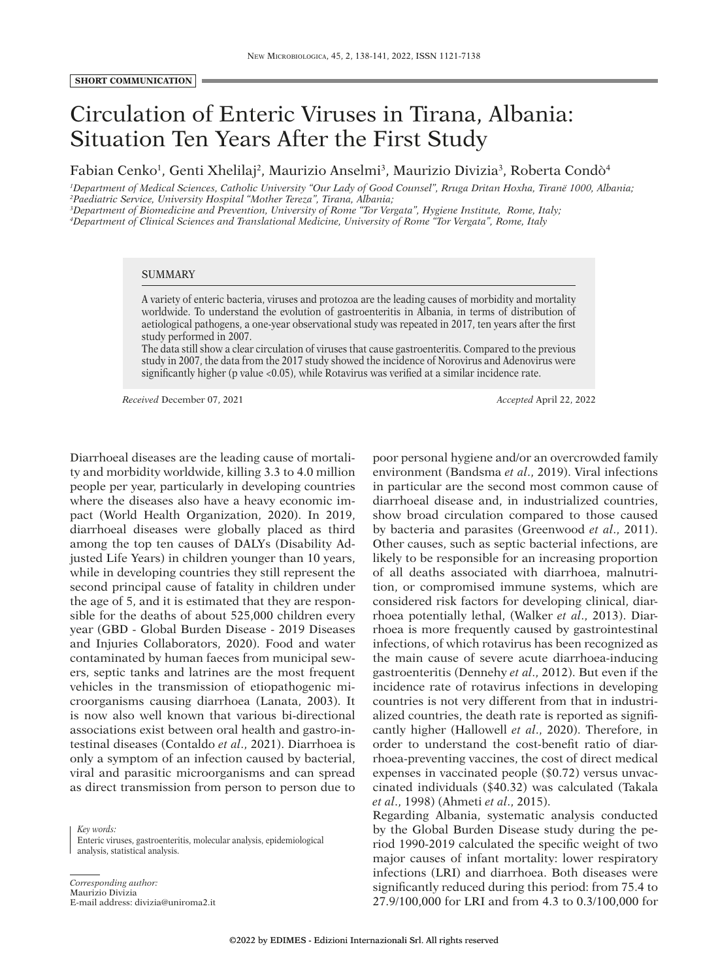## Circulation of Enteric Viruses in Tirana, Albania: Situation Ten Years After the First Study

Fabian Cenko<sup>1</sup>, Genti Xhelilaj<sup>2</sup>, Maurizio Anselmi<sup>3</sup>, Maurizio Divizia<sup>3</sup>, Roberta Condò<sup>4</sup>

*1 Department of Medical Sciences, Catholic University "Our Lady of Good Counsel", Rruga Dritan Hoxha, Tiranë 1000, Albania; 2 Paediatric Service, University Hospital "Mother Tereza", Tirana, Albania;*

*3 Department of Biomedicine and Prevention, University of Rome "Tor Vergata", Hygiene Institute, Rome, Italy; 4 Department of Clinical Sciences and Translational Medicine, University of Rome "Tor Vergata", Rome, Italy*

## SUMMARY

A variety of enteric bacteria, viruses and protozoa are the leading causes of morbidity and mortality worldwide. To understand the evolution of gastroenteritis in Albania, in terms of distribution of aetiological pathogens, a one-year observational study was repeated in 2017, ten years after the first study performed in 2007.

The data still show a clear circulation of viruses that cause gastroenteritis. Compared to the previous study in 2007, the data from the 2017 study showed the incidence of Norovirus and Adenovirus were significantly higher (p value <0.05), while Rotavirus was verified at a similar incidence rate.

*Received* December 07, 2021 *Accepted* April 22, 2022

Diarrhoeal diseases are the leading cause of mortality and morbidity worldwide, killing 3.3 to 4.0 million people per year, particularly in developing countries where the diseases also have a heavy economic impact (World Health Organization, 2020). In 2019, diarrhoeal diseases were globally placed as third among the top ten causes of DALYs (Disability Adjusted Life Years) in children younger than 10 years, while in developing countries they still represent the second principal cause of fatality in children under the age of 5, and it is estimated that they are responsible for the deaths of about 525,000 children every year (GBD - Global Burden Disease - 2019 Diseases and Injuries Collaborators, 2020). Food and water contaminated by human faeces from municipal sewers, septic tanks and latrines are the most frequent vehicles in the transmission of etiopathogenic microorganisms causing diarrhoea (Lanata, 2003). It is now also well known that various bi-directional associations exist between oral health and gastro-intestinal diseases (Contaldo *et al*., 2021). Diarrhoea is only a symptom of an infection caused by bacterial, viral and parasitic microorganisms and can spread as direct transmission from person to person due to

*Key words:* Enteric viruses, gastroenteritis, molecular analysis, epidemiological analysis, statistical analysis.

*Corresponding author:* Maurizio Divizia E-mail address: divizia@uniroma2.it poor personal hygiene and/or an overcrowded family environment (Bandsma *et al*., 2019). Viral infections in particular are the second most common cause of diarrhoeal disease and, in industrialized countries, show broad circulation compared to those caused by bacteria and parasites (Greenwood *et al*., 2011). Other causes, such as septic bacterial infections, are likely to be responsible for an increasing proportion of all deaths associated with diarrhoea, malnutrition, or compromised immune systems, which are considered risk factors for developing clinical, diarrhoea potentially lethal, (Walker *et al*., 2013). Diarrhoea is more frequently caused by gastrointestinal infections, of which rotavirus has been recognized as the main cause of severe acute diarrhoea-inducing gastroenteritis (Dennehy *et al*., 2012). But even if the incidence rate of rotavirus infections in developing countries is not very different from that in industrialized countries, the death rate is reported as significantly higher (Hallowell *et al*., 2020). Therefore, in order to understand the cost-benefit ratio of diarrhoea-preventing vaccines, the cost of direct medical expenses in vaccinated people (\$0.72) versus unvaccinated individuals (\$40.32) was calculated (Takala *et al*., 1998) (Ahmeti *et al*., 2015).

Regarding Albania, systematic analysis conducted by the Global Burden Disease study during the period 1990-2019 calculated the specific weight of two major causes of infant mortality: lower respiratory infections (LRI) and diarrhoea. Both diseases were significantly reduced during this period: from 75.4 to 27.9/100,000 for LRI and from 4.3 to 0.3/100,000 for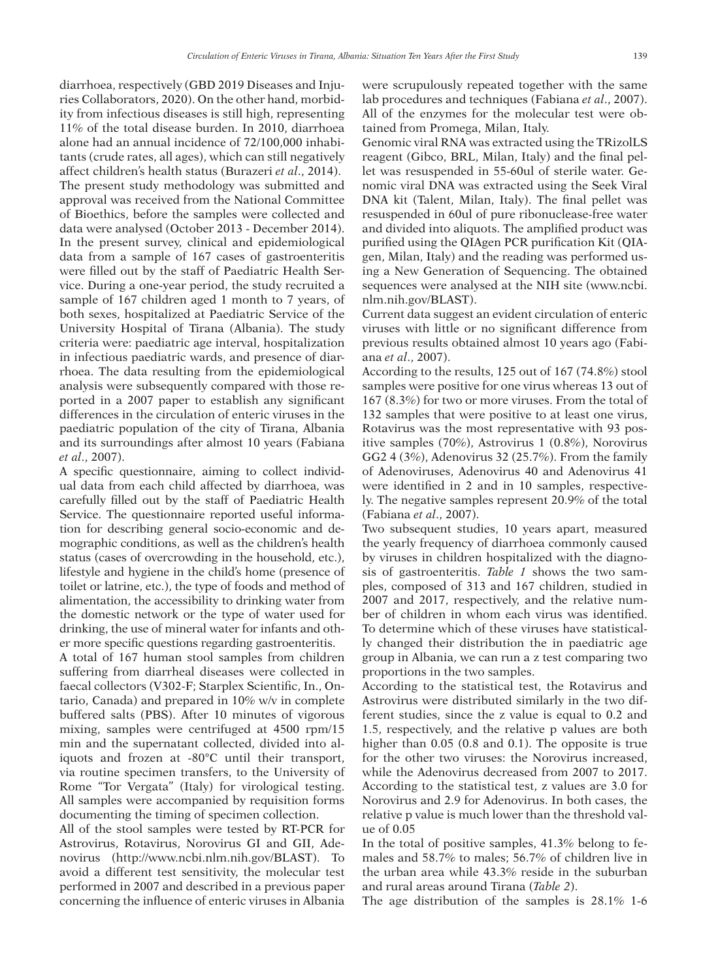diarrhoea, respectively (GBD 2019 Diseases and Injuries Collaborators, 2020). On the other hand, morbidity from infectious diseases is still high, representing 11% of the total disease burden. In 2010, diarrhoea alone had an annual incidence of 72/100,000 inhabitants (crude rates, all ages), which can still negatively affect children's health status (Burazeri *et al*., 2014). The present study methodology was submitted and approval was received from the National Committee of Bioethics, before the samples were collected and data were analysed (October 2013 - December 2014). In the present survey, clinical and epidemiological data from a sample of 167 cases of gastroenteritis were filled out by the staff of Paediatric Health Service. During a one-year period, the study recruited a sample of 167 children aged 1 month to 7 years, of both sexes, hospitalized at Paediatric Service of the University Hospital of Tirana (Albania). The study criteria were: paediatric age interval, hospitalization in infectious paediatric wards, and presence of diarrhoea. The data resulting from the epidemiological analysis were subsequently compared with those reported in a 2007 paper to establish any significant differences in the circulation of enteric viruses in the paediatric population of the city of Tirana, Albania and its surroundings after almost 10 years (Fabiana *et al*., 2007).

A specific questionnaire, aiming to collect individual data from each child affected by diarrhoea, was carefully filled out by the staff of Paediatric Health Service. The questionnaire reported useful information for describing general socio-economic and demographic conditions, as well as the children's health status (cases of overcrowding in the household, etc.), lifestyle and hygiene in the child's home (presence of toilet or latrine, etc.), the type of foods and method of alimentation, the accessibility to drinking water from the domestic network or the type of water used for drinking, the use of mineral water for infants and other more specific questions regarding gastroenteritis.

A total of 167 human stool samples from children suffering from diarrheal diseases were collected in faecal collectors (V302-F; Starplex Scientific, In., Ontario, Canada) and prepared in 10% w/v in complete buffered salts (PBS). After 10 minutes of vigorous mixing, samples were centrifuged at 4500 rpm/15 min and the supernatant collected, divided into aliquots and frozen at -80°C until their transport, via routine specimen transfers, to the University of Rome "Tor Vergata" (Italy) for virological testing. All samples were accompanied by requisition forms documenting the timing of specimen collection.

All of the stool samples were tested by RT-PCR for Astrovirus, Rotavirus, Norovirus GI and GII, Adenovirus (http://www.ncbi.nlm.nih.gov/BLAST). To avoid a different test sensitivity, the molecular test performed in 2007 and described in a previous paper concerning the influence of enteric viruses in Albania

were scrupulously repeated together with the same lab procedures and techniques (Fabiana *et al*., 2007). All of the enzymes for the molecular test were obtained from Promega, Milan, Italy.

Genomic viral RNA was extracted using the TRizolLS reagent (Gibco, BRL, Milan, Italy) and the final pellet was resuspended in 55-60ul of sterile water. Genomic viral DNA was extracted using the Seek Viral DNA kit (Talent, Milan, Italy). The final pellet was resuspended in 60ul of pure ribonuclease-free water and divided into aliquots. The amplified product was purified using the QIAgen PCR purification Kit (QIAgen, Milan, Italy) and the reading was performed using a New Generation of Sequencing. The obtained sequences were analysed at the NIH site (www.ncbi. nlm.nih.gov/BLAST).

Current data suggest an evident circulation of enteric viruses with little or no significant difference from previous results obtained almost 10 years ago (Fabiana *et al*., 2007).

According to the results, 125 out of 167 (74.8%) stool samples were positive for one virus whereas 13 out of 167 (8.3%) for two or more viruses. From the total of 132 samples that were positive to at least one virus, Rotavirus was the most representative with 93 positive samples (70%), Astrovirus 1 (0.8%), Norovirus GG2 4 (3%), Adenovirus 32 (25.7%). From the family of Adenoviruses, Adenovirus 40 and Adenovirus 41 were identified in 2 and in 10 samples, respectively. The negative samples represent 20.9% of the total (Fabiana *et al*., 2007).

Two subsequent studies, 10 years apart, measured the yearly frequency of diarrhoea commonly caused by viruses in children hospitalized with the diagnosis of gastroenteritis. *Table 1* shows the two samples, composed of 313 and 167 children, studied in 2007 and 2017, respectively, and the relative number of children in whom each virus was identified. To determine which of these viruses have statistically changed their distribution the in paediatric age group in Albania, we can run a z test comparing two proportions in the two samples.

According to the statistical test, the Rotavirus and Astrovirus were distributed similarly in the two different studies, since the z value is equal to 0.2 and 1.5, respectively, and the relative p values are both higher than  $0.05$  (0.8 and 0.1). The opposite is true for the other two viruses: the Norovirus increased, while the Adenovirus decreased from 2007 to 2017. According to the statistical test, z values are 3.0 for Norovirus and 2.9 for Adenovirus. In both cases, the relative p value is much lower than the threshold value of 0.05

In the total of positive samples, 41.3% belong to females and 58.7% to males; 56.7% of children live in the urban area while 43.3% reside in the suburban and rural areas around Tirana (*Table 2*).

The age distribution of the samples is 28.1% 1-6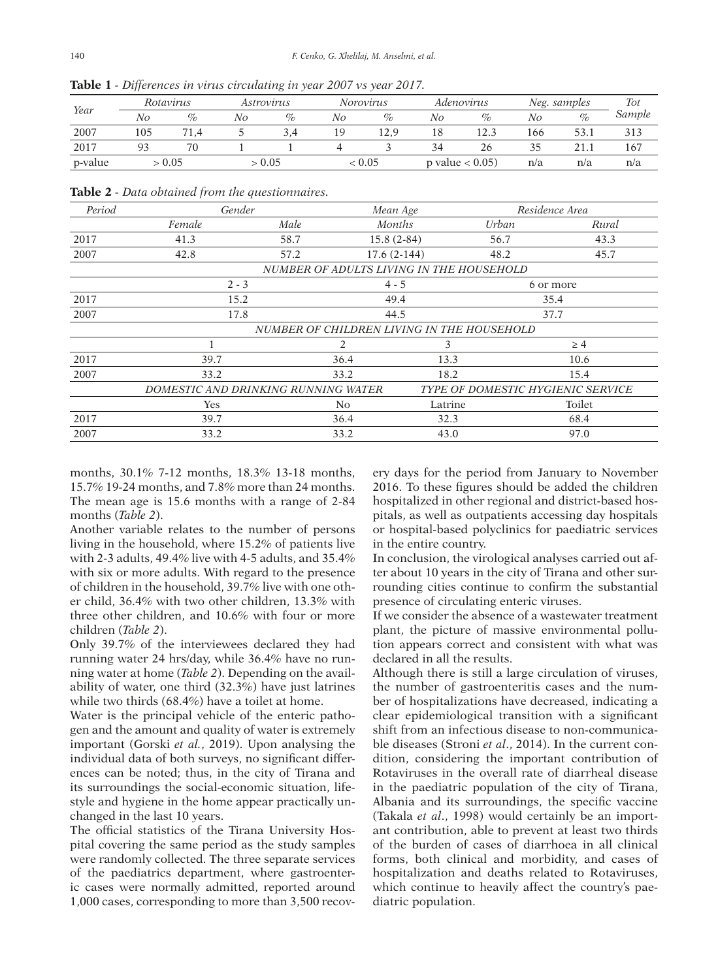|         | ,,,       |      |                   | $\tilde{\phantom{0}}$ |                  |      |                    |      |              |      |        |
|---------|-----------|------|-------------------|-----------------------|------------------|------|--------------------|------|--------------|------|--------|
| Year    | Rotavirus |      | <i>Astrovirus</i> |                       | <b>Norovirus</b> |      | Adenovirus         |      | Neg. samples |      | Tot    |
|         | Nο        | $\%$ | No                | $\%$                  | No               | %    | No                 | $\%$ | No           | $\%$ | Sample |
| 2007    | 105       | 71.4 |                   | 3,4                   | 1 Q              | 12.9 | 18                 | 12.3 | 166          | 53.1 |        |
| 2017    |           | 70   |                   |                       |                  |      | 34                 | 26   | 35           |      | 167    |
| p-value | > 0.05    |      | > 0.05            |                       | < 0.05           |      | p value $< 0.05$ ) |      | n/a          | n/a  | n/a    |

**Table 1** *- Differences in virus circulating in year 2007 vs year 2017.*

**Table 2** *- Data obtained from the questionnaires.*

| Period                                   | Gender                                     |                                     | Mean Age      |       | Residence Area                           |  |  |  |  |
|------------------------------------------|--------------------------------------------|-------------------------------------|---------------|-------|------------------------------------------|--|--|--|--|
|                                          | Female                                     | Male                                | <i>Months</i> | Urban | Rural                                    |  |  |  |  |
| 2017                                     | 41.3                                       | 58.7                                | $15.8(2-84)$  | 56.7  | 43.3                                     |  |  |  |  |
| 2007                                     | 42.8                                       | 57.2                                | $17.6(2-144)$ | 48.2  | 45.7                                     |  |  |  |  |
| NUMBER OF ADULTS LIVING IN THE HOUSEHOLD |                                            |                                     |               |       |                                          |  |  |  |  |
|                                          | $2 - 3$                                    |                                     | $4 - 5$       |       | 6 or more                                |  |  |  |  |
| 2017                                     | 15.2                                       |                                     | 49.4          |       | 35.4                                     |  |  |  |  |
| 2007                                     | 17.8                                       |                                     | 44.5          |       | 37.7                                     |  |  |  |  |
|                                          | NUMBER OF CHILDREN LIVING IN THE HOUSEHOLD |                                     |               |       |                                          |  |  |  |  |
|                                          |                                            | 2                                   | 3             |       | $\geq 4$                                 |  |  |  |  |
| 2017                                     | 39.7                                       | 36.4                                | 13.3          |       | 10.6                                     |  |  |  |  |
| 2007                                     | 33.2                                       | 33.2                                | 18.2          |       | 15.4                                     |  |  |  |  |
|                                          |                                            | DOMESTIC AND DRINKING RUNNING WATER |               |       | <b>TYPE OF DOMESTIC HYGIENIC SERVICE</b> |  |  |  |  |
|                                          | <b>Yes</b>                                 | N <sub>o</sub>                      | Latrine       |       | Toilet                                   |  |  |  |  |
| 2017                                     | 39.7                                       | 36.4                                | 32.3          |       | 68.4                                     |  |  |  |  |
| 2007                                     | 33.2                                       | 33.2                                | 43.0          |       | 97.0                                     |  |  |  |  |

months, 30.1% 7-12 months, 18.3% 13-18 months, 15.7% 19-24 months, and 7.8% more than 24 months. The mean age is 15.6 months with a range of 2-84 months (*Table 2*).

Another variable relates to the number of persons living in the household, where 15.2% of patients live with 2-3 adults, 49.4% live with 4-5 adults, and 35.4% with six or more adults. With regard to the presence of children in the household, 39.7% live with one other child, 36.4% with two other children, 13.3% with three other children, and 10.6% with four or more children (*Table 2*).

Only 39.7% of the interviewees declared they had running water 24 hrs/day, while 36.4% have no running water at home (*Table 2*). Depending on the availability of water, one third (32.3%) have just latrines while two thirds (68.4%) have a toilet at home.

Water is the principal vehicle of the enteric pathogen and the amount and quality of water is extremely important (Gorski *et al.*, 2019). Upon analysing the individual data of both surveys, no significant differences can be noted; thus, in the city of Tirana and its surroundings the social-economic situation, lifestyle and hygiene in the home appear practically unchanged in the last 10 years.

The official statistics of the Tirana University Hospital covering the same period as the study samples were randomly collected. The three separate services of the paediatrics department, where gastroenteric cases were normally admitted, reported around 1,000 cases, corresponding to more than 3,500 recovery days for the period from January to November 2016. To these figures should be added the children hospitalized in other regional and district-based hospitals, as well as outpatients accessing day hospitals or hospital-based polyclinics for paediatric services in the entire country.

In conclusion, the virological analyses carried out after about 10 years in the city of Tirana and other surrounding cities continue to confirm the substantial presence of circulating enteric viruses.

If we consider the absence of a wastewater treatment plant, the picture of massive environmental pollution appears correct and consistent with what was declared in all the results.

Although there is still a large circulation of viruses, the number of gastroenteritis cases and the number of hospitalizations have decreased, indicating a clear epidemiological transition with a significant shift from an infectious disease to non-communicable diseases (Stroni *et al*., 2014). In the current condition, considering the important contribution of Rotaviruses in the overall rate of diarrheal disease in the paediatric population of the city of Tirana, Albania and its surroundings, the specific vaccine (Takala *et al*., 1998) would certainly be an important contribution, able to prevent at least two thirds of the burden of cases of diarrhoea in all clinical forms, both clinical and morbidity, and cases of hospitalization and deaths related to Rotaviruses, which continue to heavily affect the country's paediatric population.